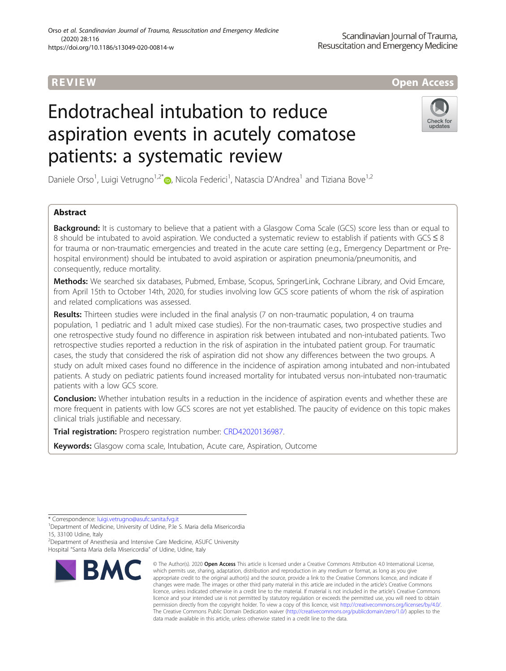# R EVI EW Open Access

# Endotracheal intubation to reduce aspiration events in acutely comatose patients: a systematic review



Daniele Orso<sup>1</sup>[,](http://orcid.org/0000-0003-3745-8368) Luigi Vetrugno<sup>1,2\*</sup>®, Nicola Federici<sup>1</sup>, Natascia D'Andrea<sup>1</sup> and Tiziana Bove<sup>1,2</sup>

# Abstract

**Background:** It is customary to believe that a patient with a Glasgow Coma Scale (GCS) score less than or equal to 8 should be intubated to avoid aspiration. We conducted a systematic review to establish if patients with GCS ≤ 8 for trauma or non-traumatic emergencies and treated in the acute care setting (e.g., Emergency Department or Prehospital environment) should be intubated to avoid aspiration or aspiration pneumonia/pneumonitis, and consequently, reduce mortality.

Methods: We searched six databases, Pubmed, Embase, Scopus, SpringerLink, Cochrane Library, and Ovid Emcare, from April 15th to October 14th, 2020, for studies involving low GCS score patients of whom the risk of aspiration and related complications was assessed.

Results: Thirteen studies were included in the final analysis (7 on non-traumatic population, 4 on trauma population, 1 pediatric and 1 adult mixed case studies). For the non-traumatic cases, two prospective studies and one retrospective study found no difference in aspiration risk between intubated and non-intubated patients. Two retrospective studies reported a reduction in the risk of aspiration in the intubated patient group. For traumatic cases, the study that considered the risk of aspiration did not show any differences between the two groups. A study on adult mixed cases found no difference in the incidence of aspiration among intubated and non-intubated patients. A study on pediatric patients found increased mortality for intubated versus non-intubated non-traumatic patients with a low GCS score.

Conclusion: Whether intubation results in a reduction in the incidence of aspiration events and whether these are more frequent in patients with low GCS scores are not yet established. The paucity of evidence on this topic makes clinical trials justifiable and necessary.

**Trial registration:** Prospero registration number: [CRD42020136987](https://www.crd.york.ac.uk/prospero/display_record.php?RecordID=136987).

Keywords: Glasgow coma scale, Intubation, Acute care, Aspiration, Outcome

<sup>2</sup>Department of Anesthesia and Intensive Care Medicine, ASUFC University Hospital "Santa Maria della Misericordia" of Udine, Udine, Italy



<sup>©</sup> The Author(s), 2020 **Open Access** This article is licensed under a Creative Commons Attribution 4.0 International License, which permits use, sharing, adaptation, distribution and reproduction in any medium or format, as long as you give appropriate credit to the original author(s) and the source, provide a link to the Creative Commons licence, and indicate if changes were made. The images or other third party material in this article are included in the article's Creative Commons licence, unless indicated otherwise in a credit line to the material. If material is not included in the article's Creative Commons licence and your intended use is not permitted by statutory regulation or exceeds the permitted use, you will need to obtain permission directly from the copyright holder. To view a copy of this licence, visit [http://creativecommons.org/licenses/by/4.0/.](http://creativecommons.org/licenses/by/4.0/) The Creative Commons Public Domain Dedication waiver [\(http://creativecommons.org/publicdomain/zero/1.0/](http://creativecommons.org/publicdomain/zero/1.0/)) applies to the data made available in this article, unless otherwise stated in a credit line to the data.

<sup>\*</sup> Correspondence: [luigi.vetrugno@asufc.sanita.fvg.it](mailto:luigi.vetrugno@asufc.sanita.fvg.it) <sup>1</sup>

Department of Medicine, University of Udine, P.le S. Maria della Misericordia 15, 33100 Udine, Italy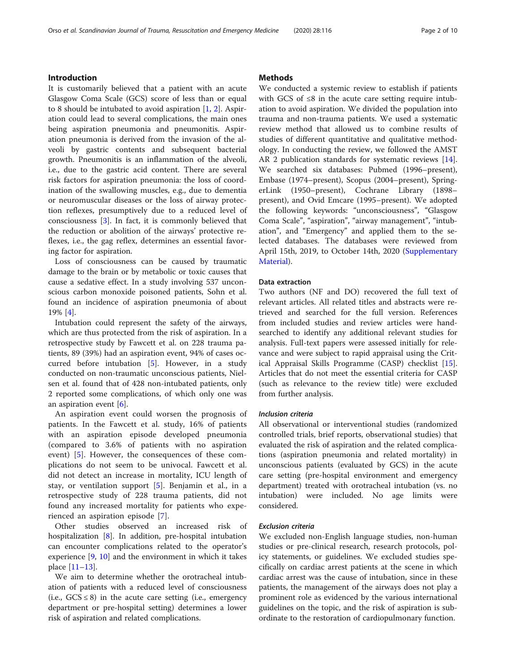It is customarily believed that a patient with an acute Glasgow Coma Scale (GCS) score of less than or equal to 8 should be intubated to avoid aspiration [[1,](#page-8-0) [2\]](#page-8-0). Aspiration could lead to several complications, the main ones being aspiration pneumonia and pneumonitis. Aspiration pneumonia is derived from the invasion of the alveoli by gastric contents and subsequent bacterial growth. Pneumonitis is an inflammation of the alveoli, i.e., due to the gastric acid content. There are several risk factors for aspiration pneumonia: the loss of coordination of the swallowing muscles, e.g., due to dementia or neuromuscular diseases or the loss of airway protection reflexes, presumptively due to a reduced level of consciousness [\[3](#page-8-0)]. In fact, it is commonly believed that the reduction or abolition of the airways' protective reflexes, i.e., the gag reflex, determines an essential favoring factor for aspiration.

Loss of consciousness can be caused by traumatic damage to the brain or by metabolic or toxic causes that cause a sedative effect. In a study involving 537 unconscious carbon monoxide poisoned patients, Sohn et al. found an incidence of aspiration pneumonia of about 19% [\[4](#page-8-0)].

Intubation could represent the safety of the airways, which are thus protected from the risk of aspiration. In a retrospective study by Fawcett et al. on 228 trauma patients, 89 (39%) had an aspiration event, 94% of cases occurred before intubation [\[5\]](#page-8-0). However, in a study conducted on non-traumatic unconscious patients, Nielsen et al. found that of 428 non-intubated patients, only 2 reported some complications, of which only one was an aspiration event [[6\]](#page-8-0).

An aspiration event could worsen the prognosis of patients. In the Fawcett et al. study, 16% of patients with an aspiration episode developed pneumonia (compared to 3.6% of patients with no aspiration event) [\[5](#page-8-0)]. However, the consequences of these complications do not seem to be univocal. Fawcett et al. did not detect an increase in mortality, ICU length of stay, or ventilation support [[5\]](#page-8-0). Benjamin et al., in a retrospective study of 228 trauma patients, did not found any increased mortality for patients who experienced an aspiration episode [[7\]](#page-8-0).

Other studies observed an increased risk of hospitalization [\[8](#page-8-0)]. In addition, pre-hospital intubation can encounter complications related to the operator's experience [[9,](#page-8-0) [10\]](#page-8-0) and the environment in which it takes place [[11](#page-8-0)–[13](#page-8-0)].

We aim to determine whether the orotracheal intubation of patients with a reduced level of consciousness (i.e.,  $GCS \leq 8$ ) in the acute care setting (i.e., emergency department or pre-hospital setting) determines a lower risk of aspiration and related complications.

# **Methods**

We conducted a systemic review to establish if patients with GCS of  $\leq$ 8 in the acute care setting require intubation to avoid aspiration. We divided the population into trauma and non-trauma patients. We used a systematic review method that allowed us to combine results of studies of different quantitative and qualitative methodology. In conducting the review, we followed the AMST AR 2 publication standards for systematic reviews [\[14](#page-8-0)]. We searched six databases: Pubmed (1996–present), Embase (1974–present), Scopus (2004–present), SpringerLink (1950–present), Cochrane Library (1898– present), and Ovid Emcare (1995–present). We adopted the following keywords: "unconsciousness", "Glasgow Coma Scale", "aspiration", "airway management", "intubation", and "Emergency" and applied them to the selected databases. The databases were reviewed from April 15th, 2019, to October 14th, 2020 [\(Supplementary](#page-8-0) [Material\)](#page-8-0).

# Data extraction

Two authors (NF and DO) recovered the full text of relevant articles. All related titles and abstracts were retrieved and searched for the full version. References from included studies and review articles were handsearched to identify any additional relevant studies for analysis. Full-text papers were assessed initially for relevance and were subject to rapid appraisal using the Critical Appraisal Skills Programme (CASP) checklist [\[15](#page-8-0)]. Articles that do not meet the essential criteria for CASP (such as relevance to the review title) were excluded from further analysis.

# Inclusion criteria

All observational or interventional studies (randomized controlled trials, brief reports, observational studies) that evaluated the risk of aspiration and the related complications (aspiration pneumonia and related mortality) in unconscious patients (evaluated by GCS) in the acute care setting (pre-hospital environment and emergency department) treated with orotracheal intubation (vs. no intubation) were included. No age limits were considered.

# Exclusion criteria

We excluded non-English language studies, non-human studies or pre-clinical research, research protocols, policy statements, or guidelines. We excluded studies specifically on cardiac arrest patients at the scene in which cardiac arrest was the cause of intubation, since in these patients, the management of the airways does not play a prominent role as evidenced by the various international guidelines on the topic, and the risk of aspiration is subordinate to the restoration of cardiopulmonary function.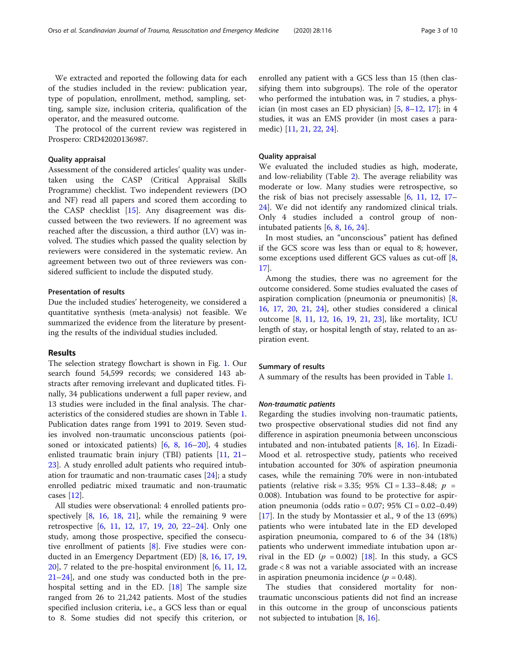We extracted and reported the following data for each of the studies included in the review: publication year, type of population, enrollment, method, sampling, setting, sample size, inclusion criteria, qualification of the operator, and the measured outcome.

The protocol of the current review was registered in Prospero: CRD42020136987.

## Quality appraisal

Assessment of the considered articles' quality was undertaken using the CASP (Critical Appraisal Skills Programme) checklist. Two independent reviewers (DO and NF) read all papers and scored them according to the CASP checklist [\[15](#page-8-0)]. Any disagreement was discussed between the two reviewers. If no agreement was reached after the discussion, a third author (LV) was involved. The studies which passed the quality selection by reviewers were considered in the systematic review. An agreement between two out of three reviewers was considered sufficient to include the disputed study.

# Presentation of results

Due the included studies' heterogeneity, we considered a quantitative synthesis (meta-analysis) not feasible. We summarized the evidence from the literature by presenting the results of the individual studies included.

# Results

The selection strategy flowchart is shown in Fig. [1](#page-3-0). Our search found 54,599 records; we considered 143 abstracts after removing irrelevant and duplicated titles. Finally, 34 publications underwent a full paper review, and 13 studies were included in the final analysis. The characteristics of the considered studies are shown in Table [1](#page-4-0). Publication dates range from 1991 to 2019. Seven studies involved non-traumatic unconscious patients (poisoned or intoxicated patients)  $[6, 8, 16-20]$  $[6, 8, 16-20]$  $[6, 8, 16-20]$  $[6, 8, 16-20]$  $[6, 8, 16-20]$  $[6, 8, 16-20]$  $[6, 8, 16-20]$  $[6, 8, 16-20]$  $[6, 8, 16-20]$ , 4 studies enlisted traumatic brain injury (TBI) patients [\[11,](#page-8-0) [21](#page-8-0)– [23\]](#page-9-0). A study enrolled adult patients who required intubation for traumatic and non-traumatic cases [\[24](#page-9-0)]; a study enrolled pediatric mixed traumatic and non-traumatic cases [[12](#page-8-0)].

All studies were observational: 4 enrolled patients prospectively  $[8, 16, 18, 21]$  $[8, 16, 18, 21]$  $[8, 16, 18, 21]$  $[8, 16, 18, 21]$  $[8, 16, 18, 21]$  $[8, 16, 18, 21]$  $[8, 16, 18, 21]$  $[8, 16, 18, 21]$ , while the remaining 9 were retrospective [\[6](#page-8-0), [11](#page-8-0), [12](#page-8-0), [17](#page-8-0), [19](#page-8-0), [20](#page-8-0), [22](#page-9-0)–[24](#page-9-0)]. Only one study, among those prospective, specified the consecutive enrollment of patients [[8](#page-8-0)]. Five studies were conducted in an Emergency Department (ED) [[8,](#page-8-0) [16](#page-8-0), [17](#page-8-0), [19](#page-8-0), [20\]](#page-8-0), 7 related to the pre-hospital environment [[6,](#page-8-0) [11](#page-8-0), [12](#page-8-0), [21](#page-8-0)–[24](#page-9-0)], and one study was conducted both in the prehospital setting and in the ED.  $[18]$  $[18]$  The sample size ranged from 26 to 21,242 patients. Most of the studies specified inclusion criteria, i.e., a GCS less than or equal to 8. Some studies did not specify this criterion, or

enrolled any patient with a GCS less than 15 (then classifying them into subgroups). The role of the operator who performed the intubation was, in 7 studies, a physician (in most cases an ED physician)  $[5, 8-12, 17]$  $[5, 8-12, 17]$  $[5, 8-12, 17]$  $[5, 8-12, 17]$  $[5, 8-12, 17]$  $[5, 8-12, 17]$  $[5, 8-12, 17]$ ; in 4 studies, it was an EMS provider (in most cases a paramedic) [[11,](#page-8-0) [21](#page-8-0), [22](#page-9-0), [24](#page-9-0)].

# Quality appraisal

We evaluated the included studies as high, moderate, and low-reliability (Table [2](#page-6-0)). The average reliability was moderate or low. Many studies were retrospective, so the risk of bias not precisely assessable  $[6, 11, 12, 17 [6, 11, 12, 17 [6, 11, 12, 17 [6, 11, 12, 17 [6, 11, 12, 17 [6, 11, 12, 17 [6, 11, 12, 17 [6, 11, 12, 17 [6, 11, 12, 17-$ [24\]](#page-9-0). We did not identify any randomized clinical trials. Only 4 studies included a control group of nonintubated patients [[6,](#page-8-0) [8,](#page-8-0) [16](#page-8-0), [24](#page-9-0)].

In most studies, an "unconscious" patient has defined if the GCS score was less than or equal to 8; however, some exceptions used different GCS values as cut-off [\[8](#page-8-0), [17\]](#page-8-0).

Among the studies, there was no agreement for the outcome considered. Some studies evaluated the cases of aspiration complication (pneumonia or pneumonitis)  $[8, 8]$  $[8, 8]$ [16,](#page-8-0) [17](#page-8-0), [20](#page-8-0), [21,](#page-8-0) [24\]](#page-9-0), other studies considered a clinical outcome [[8,](#page-8-0) [11,](#page-8-0) [12](#page-8-0), [16](#page-8-0), [19](#page-8-0), [21,](#page-8-0) [23\]](#page-9-0), like mortality, ICU length of stay, or hospital length of stay, related to an aspiration event.

#### Summary of results

A summary of the results has been provided in Table [1](#page-4-0).

# Non-traumatic patients

Regarding the studies involving non-traumatic patients, two prospective observational studies did not find any difference in aspiration pneumonia between unconscious intubated and non-intubated patients [[8,](#page-8-0) [16\]](#page-8-0). In Eizadi-Mood et al. retrospective study, patients who received intubation accounted for 30% of aspiration pneumonia cases, while the remaining 70% were in non-intubated patients (relative risk = 3.35; 95% CI = 1.33–8.48;  $p =$ 0.008). Intubation was found to be protective for aspiration pneumonia (odds ratio = 0.07; 95% CI = 0.02–0.49) [[17\]](#page-8-0). In the study by Montassier et al., 9 of the 13 (69%) patients who were intubated late in the ED developed aspiration pneumonia, compared to 6 of the 34 (18%) patients who underwent immediate intubation upon arrival in the ED  $(p = 0.002)$  [[18\]](#page-8-0). In this study, a GCS grade < 8 was not a variable associated with an increase in aspiration pneumonia incidence ( $p = 0.48$ ).

The studies that considered mortality for nontraumatic unconscious patients did not find an increase in this outcome in the group of unconscious patients not subjected to intubation [\[8](#page-8-0), [16\]](#page-8-0).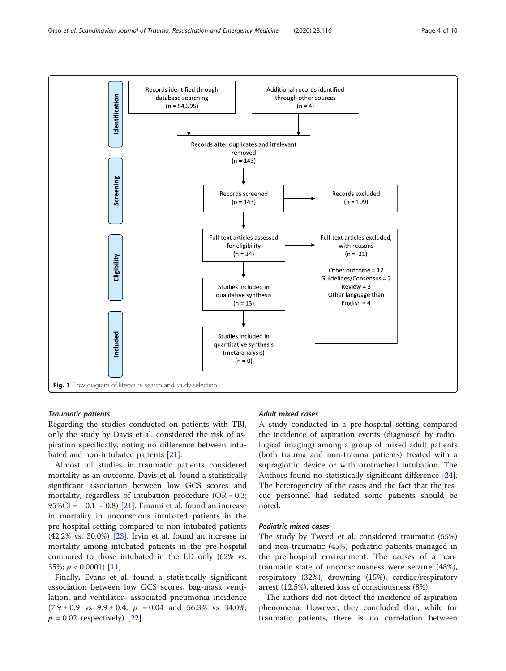<span id="page-3-0"></span>

# Traumatic patients

Regarding the studies conducted on patients with TBI, only the study by Davis et al. considered the risk of aspiration specifically, noting no difference between intubated and non-intubated patients [\[21](#page-8-0)].

Almost all studies in traumatic patients considered mortality as an outcome. Davis et al. found a statistically significant association between low GCS scores and mortality, regardless of intubation procedure  $(OR = 0.3;$ 95%CI =  $-0.1 - 0.8$  [[21](#page-8-0)]. Emami et al. found an increase in mortality in unconscious intubated patients in the pre-hospital setting compared to non-intubated patients (42.2% vs. 30.0%) [\[23](#page-9-0)]. Irvin et al. found an increase in mortality among intubated patients in the pre-hospital compared to those intubated in the ED only (62% vs. 35%;  $p < 0.0001$  [[11\]](#page-8-0).

Finally, Evans et al. found a statistically significant association between low GCS scores, bag-mask ventilation, and ventilator- associated pneumonia incidence  $(7.9 \pm 0.9 \text{ vs } 9.9 \pm 0.4; p = 0.04 \text{ and } 56.3\% \text{ vs } 34.0\%;$  $p = 0.02$  respectively) [[22\]](#page-9-0).

# Adult mixed cases

A study conducted in a pre-hospital setting compared the incidence of aspiration events (diagnosed by radiological imaging) among a group of mixed adult patients (both trauma and non-trauma patients) treated with a supraglottic device or with orotracheal intubation. The Authors found no statistically significant difference [\[24](#page-9-0)]. The heterogeneity of the cases and the fact that the rescue personnel had sedated some patients should be noted.

# Pediatric mixed cases

The study by Tweed et al. considered traumatic (55%) and non-traumatic (45%) pediatric patients managed in the pre-hospital environment. The causes of a nontraumatic state of unconsciousness were seizure (48%), respiratory (32%), drowning (15%), cardiac/respiratory arrest (12.5%), altered loss of consciousness (8%).

The authors did not detect the incidence of aspiration phenomena. However, they concluded that, while for traumatic patients, there is no correlation between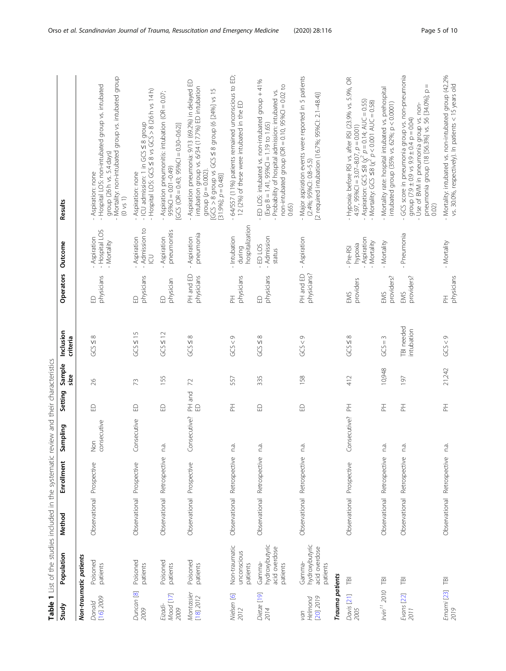<span id="page-4-0"></span>

|                               | Table 1 List of the studies included in the systematic review and their characteristics |                           |                             |                    |                                        |                |                          |                                                      |                                                      |                                                                                                                                                                                                                                 |
|-------------------------------|-----------------------------------------------------------------------------------------|---------------------------|-----------------------------|--------------------|----------------------------------------|----------------|--------------------------|------------------------------------------------------|------------------------------------------------------|---------------------------------------------------------------------------------------------------------------------------------------------------------------------------------------------------------------------------------|
| Study                         | Population                                                                              | Method                    | Enrollment                  | Sampling           | Setting                                | Sample<br>size | Inclusion<br>criteria    | <b>Operators</b>                                     | Outcome                                              | Results                                                                                                                                                                                                                         |
|                               | Non-traumatic patients                                                                  |                           |                             |                    |                                        |                |                          |                                                      |                                                      |                                                                                                                                                                                                                                 |
| [16] 2009<br>Donald           | Poisoned<br>patients                                                                    | Observational Prospective |                             | consecutive<br>Non | $\mathrel{\widehat{=}}$                | $\delta$       | $GCS \leq 8$             | physicians<br>$\begin{array}{c} \square \end{array}$ | - Hospital LOS<br>Aspiration<br>- Mortality          | Mortality: non-intubated group vs. intubated group<br>- Hospital LOS: non-intubated group vs. intubated<br>group (26 h vs. 5.4 days)<br>- Aspiration: none<br>$(0 \vee 1)$                                                      |
| Duncan <sup>[8]</sup><br>2009 | Poisoned<br>patients                                                                    | Observational Prospective |                             | Consecutive        | $\mathrel{\widehat{\boxminus}}$        | 73             | $GCS \leq 15$            | physicians<br>$\begin{array}{c} \square \end{array}$ | Admission to<br>Aspiration<br>$\cup$<br>$\mathbf{1}$ | - Hospital LOS: $GCS \leq 8$ vs $GCS > 8$ (26 h vs 14 h)<br>- ICU admission: 1 in GCS $\leq$ 8 group<br>- Aspiration: none                                                                                                      |
| Mood [17]<br>Eizadi-<br>2009  | Poisoned<br>patients                                                                    | Observational             | Retrospective               | n.a.               | $\mathrel{\widehat{=}}$                | 155            | $GCS \leq 12$            | physician<br>$\mathrel{\widehat{=}}$                 | pneumonitis<br>Aspiration                            | Aspiration pneumonitis: intubation (OR = $0.07$ ;<br>[GCS (OR = 0.43; 95%Cl = 0.30-0.62)]<br>$95\%CI = 0.01 - 0.49$                                                                                                             |
| Montassier<br>[18] 2012       | Poisoned<br>patients                                                                    | Observational Prospective |                             | Consecutive?       | PH and<br>$\ensuremath{\boxdot}$       | 72             | $GCS \leq 8$             | PH and ED<br>physicians                              | pneumonia<br>Aspiration                              | Aspiration pneumonia: 9/13 (69.2%) in delayed ED<br>intubation group vs. 6/34 (17.7%) ED intubation<br>$\frac{1}{2}$<br>$IGCS > 8$ group vs $GCS \leq 8$ group (6 $[24\%]$ vs<br>group $(p = 0.002)$ .<br>$[31.9\%]; p = 0.48]$ |
| Nielsen [6]<br>2012           | Non-traumatic<br>unconscious<br>patients                                                |                           | Observational Retrospective | n.a.               | 폰                                      | 557            | 0<br>GS<                 | physicians<br>굳                                      | hospitalization<br>- Intubation<br>during            | - 64/557 (11%) patients remained unconscious to ED;<br>12 (2%) of these were intubated in the ED                                                                                                                                |
| Dietze [19]<br>2014           | hydroxybutyric<br>acid overdose<br>Gamma-<br>patients                                   | Observational             | Retrospective               | n.a.               | $\begin{array}{c} \square \end{array}$ | 335            | $\infty$<br>$\vee$<br>GG | physicians<br>$\mathrel{\widehat{=}}$                | - Admission<br>$-ED$ LOS<br>status                   | ED LOS: intubated vs. non-intubated group +41%<br>non-intubated group (OR = 0.10, 95%Cl = 0.02 to<br>- Probability of hospital admission: intubated vs.<br>$(Exp B = 1.41, 95\% CI = 1.19$ to 1.65)<br>0.65)                    |
| [20] 2019<br>Helmond<br>van   | hydroxybutyric<br>acid overdose<br>Gamma-<br>patients                                   |                           | Observational Retrospective | n.a.               | $\begin{array}{c} \square \end{array}$ | 158            | $\circ$<br>$\vee$<br>g   | PH and ED<br>physicians?                             | - Aspiration                                         | - Major aspiration events were reported in 5 patients<br>[2 required intubation (16.7%; 95%Cl: 2.1-48.4)]<br>$(2.4\%; 95\%$ CI: $0.8 - 5.5)$                                                                                    |
| Trauma patients               |                                                                                         |                           |                             |                    |                                        |                |                          |                                                      |                                                      |                                                                                                                                                                                                                                 |
| Davis [21]<br>2005            | 戸                                                                                       | Observational Prospective |                             | Consecutive?       | 폰                                      | 412            | $\infty$<br>$GCS \leq$   | providers<br>EMS                                     | Aspiration<br>Mortality<br>hypoxia<br>Pre-RSI        | - Hypoxia: before RSI vs. after RSI (23.9% vs. 5.9%, OR<br>4.97, 95%Cl = 3.07-8.07, p = 0.001)<br>- Aspiration: GCS S8 (x <sup>2</sup> p = 0.14; AUC = 0.55)<br>- Mortality: GCS S8 (x <sup>2</sup> p < 0.001 AUC = 0.58)       |
| $Iwin^{11}$ 2010              | ΓBΙ                                                                                     | Observational             | Retrospective               | n.a.               | 돈                                      | 10,948         | $GCS = 3$                | providers?<br>EMS                                    | Mortality                                            | - Mortality rate: hospital intubated vs. prehospital<br>intubated group $(35\% \text{ vs. } 62\%; \text{ p} < 0.0001)$                                                                                                          |
| Evans [22]<br>2011            | ΓÑ                                                                                      | Observational             | Retrospective               | n.a.               | 폰                                      | 197            | TBI needed<br>intubation | providers?<br>EMS                                    | Pneumonia                                            | - GCS score in pneumonia group vs. non-pneumonia<br>$\frac{\pi}{2}$<br>- Use of BVM in pneumonia group vs. non-<br>pneumonia group (18 [56.3%] vs. 56 [34.0%];<br>group $(7.9 \pm 0.9 \times 9.9 \pm 0.4)$ p = 0.04)<br>0.02)   |
| <b>Emami</b> [23]<br>2019     | FBI                                                                                     |                           | Observational Retrospective | ₫.                 | 돈                                      | 21,242         | GCS < 9                  | physicians<br>굳                                      | - Mortality                                          | - Mortality: intubated vs. non-intubated group (42.2%<br>vs. 30.0%, respectively). In patients $\lt$ 15 years old                                                                                                               |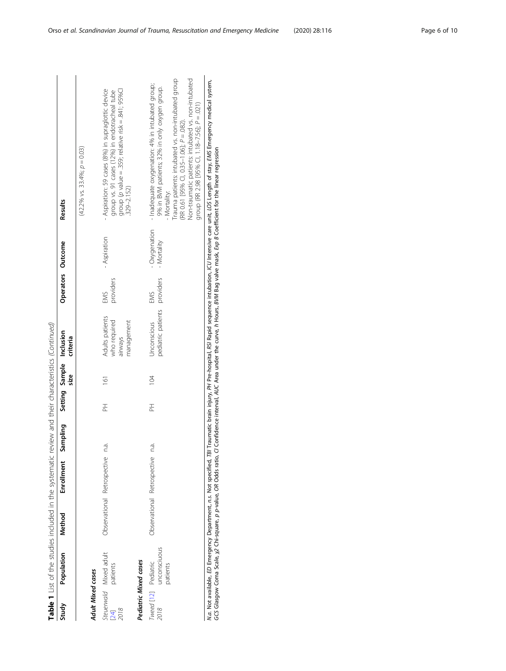| I ahlar 1 list of the studies in the systematic review and their characteristics (<br>りりり |                          | j<br>-<br>-<br>-<br>- | ֧֖֖֖֖֖֖֢ׅ֧֧֧֦֪֪֪֦֧֧֧֧֧֧֧֧֧֧֧֧֧֛֧֧֧֧֧֧֧֛֚֚֚֚֚֚֚֚֚֚֚֚֚֚֚֚֚֚֚֝֓֓֓֝֓֝֬֝֓֝֓֝֓֝֓֝֬֝֓֓֝֬֝֓֝֬֝֓֝֬֝֓֝֬֝֬֝֬֝֬֝֓֝֬֝֬֝֬֝֬֝֬֝֬<br>֧֧֛֛֪֛֪֪֪֪֛֪֪֪֪֪֪֪֪֪֪֪֪֪֪֪֪֛֜֜֜֝֝ | مستفصحات |
|-------------------------------------------------------------------------------------------|--------------------------|-----------------------|--------------------------------------------------------------------------------------------------------------------------------------------------------|----------|
|                                                                                           | i<br>Anthon<br>D<br>フリーク | prollment Sampling    | Setting Sample                                                                                                                                         | malurion |

| Study                        | Population                         | Method                      | Enrollment | Sampling |   | size             | Setting Sample Inclusion<br>criteria                     | Operators Outcome |                              | Results                                                                                                                                                                                                                                                                                                                  |
|------------------------------|------------------------------------|-----------------------------|------------|----------|---|------------------|----------------------------------------------------------|-------------------|------------------------------|--------------------------------------------------------------------------------------------------------------------------------------------------------------------------------------------------------------------------------------------------------------------------------------------------------------------------|
|                              |                                    |                             |            |          |   |                  |                                                          |                   |                              | $(42.2\% \text{ vs. } 33.4\%; p = 0.03)$                                                                                                                                                                                                                                                                                 |
| <b>Adult Mixed cases</b>     |                                    |                             |            |          |   |                  |                                                          |                   |                              |                                                                                                                                                                                                                                                                                                                          |
| [24]<br>2018                 | Steuerwald Mixed adult<br>patients | Observational Retrospective |            | n.a.     | 폰 | $\overline{161}$ | Adults patients<br>who required<br>management<br>airways | providers<br>EMS  | - Aspiration                 | - Aspiration: 59 cases (8%) in supraglottic device<br>group $(p$ value = .359; relative risk = .841; $95\%$ Cl<br>group vs. 91 cases (12%) in endotracheal tube<br>329-2.152)                                                                                                                                            |
| Pediatric Mixed cases        |                                    |                             |            |          |   |                  |                                                          |                   |                              |                                                                                                                                                                                                                                                                                                                          |
| Tweed [12] Pediatric<br>2018 | <b>Inconsciuous</b><br>patients    | Observational Retrospective |            | n.a.     | 곱 | $\overline{5}$   | pediatric patients<br>Unconscious                        | providers<br>EMS  | - Oxygenation<br>- Mortality | Trauma patients: intubated vs. non-intubated group<br>Non-traumatic patients: intubated vs. non-intubated<br>- Inadequate oxygenation: 4% in intubated group;<br>9% in BVM patients; 32% in only oxygen group.<br>aroup (RR 2.98 [95% Cl, 1.18-7.56]; P = .021)<br>RR 0.61 [95% CI, 0.35-1.06]; P = .082).<br>Mortality: |

N.a. Not available, ED Emergency Department, n.s. Not specified, TBI Traumatic brain injury, PH Pre-hospital, RSI Rapid sequence intubation, ICU Intensive care unit, LOS Length of stay, EMS Emergency medical system,<br>GCS Gl N.a. Not available, ED Emergency Department, n.s. Not specified, TBI Traumatic brain injury, PH Pre-hospital, RSI Rapid sequence intubation, ICU Intensive care unit, LOS Length of stay, EMS Emergency medical system, GCS Glasgow Coma Scale, χ2 Chi-square, p p-value, OR Odds ratio, Cl Confidence interval, AUC Area under the curve, h Hours, BVM Bag valve mask, Exp B Coefficient for the linear regression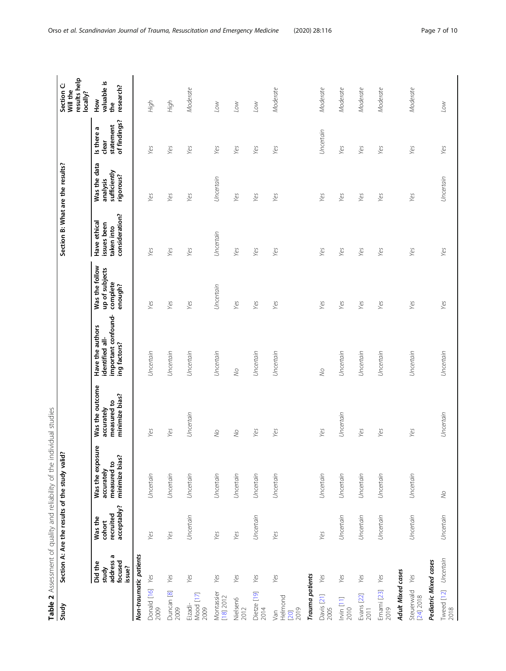<span id="page-6-0"></span>

| Study                          |                                                       |                                               | Table 2 Assessment of quality and reliability of the individual studies<br>Section A: Are the results of the study valid? |                                                                |                                                                            |                                                         | Section B: What are the results?                            |                                                       |                                                     | results help<br>Section C:<br>Will the<br>locally? |
|--------------------------------|-------------------------------------------------------|-----------------------------------------------|---------------------------------------------------------------------------------------------------------------------------|----------------------------------------------------------------|----------------------------------------------------------------------------|---------------------------------------------------------|-------------------------------------------------------------|-------------------------------------------------------|-----------------------------------------------------|----------------------------------------------------|
|                                | ā<br>address<br>focused<br>Did the<br>issue?<br>study | acceptably?<br>recruited<br>Was the<br>cohort | ā<br>Was the exposur<br>minimize bias?<br>measured to<br>accurately                                                       | Was the outcome<br>minimize bias?<br>measured to<br>accurately | important confound-<br>Have the authors<br>identified all-<br>ing factors? | Was the follow<br>up of subjects<br>complete<br>enough? | consideration?<br>Have ethical<br>issues been<br>taken into | Was the data<br>sufficiently<br>rigorous?<br>analysis | of findings?<br>statement<br>æ<br>Is there<br>clear | valuable is<br>research?<br>Now<br>e4              |
|                                | Non-traumatic patients                                |                                               |                                                                                                                           |                                                                |                                                                            |                                                         |                                                             |                                                       |                                                     |                                                    |
| Donald [16]<br>2009            | Yes                                                   | Yes                                           | Uncertain                                                                                                                 | Yes                                                            | Uncertain                                                                  | Yes                                                     | Yes                                                         | Yes                                                   | Yes                                                 | High                                               |
| Duncan <sup>[8]</sup><br>2009  | Yes                                                   | Yes                                           | Uncertain                                                                                                                 | Yes                                                            | Uncertain                                                                  | Yes                                                     | Yes                                                         | Yes                                                   | Yes                                                 | High                                               |
| Mood [17]<br>Eizadi-<br>2009   | Yes                                                   | Uncertain                                     | Uncertain                                                                                                                 | Uncertain                                                      | Uncertain                                                                  | Yes                                                     | Yes                                                         | Yes                                                   | Yes                                                 | Moderate                                           |
| Montassier<br>[18] 2012        | Yes                                                   | Yes                                           | Uncertain                                                                                                                 | $\lesssim$                                                     | Uncertain                                                                  | Uncertain                                               | Uncertain                                                   | Uncertain                                             | Yes                                                 | ΛΟ7                                                |
| Nielsen6<br>2012               | Yes                                                   | Yes                                           | Uncertain                                                                                                                 | $\lesssim$                                                     | $\lesssim$                                                                 | Yes                                                     | Yes                                                         | Yes                                                   | Yes                                                 | Low                                                |
| Dietze [19]<br>2014            | Yes                                                   | Uncertain                                     | Uncertain                                                                                                                 | Yes                                                            | Uncertain                                                                  | Yes                                                     | Yes                                                         | Yes                                                   | Yes                                                 | $_{\rm low}$                                       |
| Helmond<br>2019<br>Van<br>[20] | Yes                                                   | Yes                                           | Uncertain                                                                                                                 | Yes                                                            | Uncertain                                                                  | Yes                                                     | Yes                                                         | Yes                                                   | Yes                                                 | Moderate                                           |
| Trauma patients                |                                                       |                                               |                                                                                                                           |                                                                |                                                                            |                                                         |                                                             |                                                       |                                                     |                                                    |
| Davis [21]<br>2005             | Yes                                                   | Yes                                           | Uncertain                                                                                                                 | Yes                                                            | $\geq$                                                                     | Yes                                                     | Yes                                                         | Yes                                                   | Uncertain                                           | Moderate                                           |
| lnin[11]<br>2010               | Yes                                                   | Uncertain                                     | Uncertain                                                                                                                 | Uncertain                                                      | Uncertain                                                                  | Yes                                                     | Yes                                                         | Yes                                                   | Yes                                                 | Moderate                                           |
| Evans [22]<br>2011             | Yes                                                   | Uncertain                                     | Uncertain                                                                                                                 | Yes                                                            | Uncertain                                                                  | Yes                                                     | Yes                                                         | Yes                                                   | Yes                                                 | Moderate                                           |
| Emami [23]<br>2019             | Yes                                                   | Uncertain                                     | Uncertain                                                                                                                 | Yes                                                            | Uncertain                                                                  | Yes                                                     | Yes                                                         | Yes                                                   | Yes                                                 | Moderate                                           |
| <b>Adult Mixed cases</b>       |                                                       |                                               |                                                                                                                           |                                                                |                                                                            |                                                         |                                                             |                                                       |                                                     |                                                    |
| Steuerwald<br>[24] 2018        | Yes                                                   | Uncertain                                     | Uncertain                                                                                                                 | Yes                                                            | Uncertain                                                                  | Yes                                                     | Yes                                                         | Yes                                                   | Yes                                                 | Moderate                                           |
| Pediatric Mixed cases          |                                                       |                                               |                                                                                                                           |                                                                |                                                                            |                                                         |                                                             |                                                       |                                                     |                                                    |
| Tweed [12]<br>2018             | Uncertain                                             | Uncertain                                     | $\lesssim$                                                                                                                | Uncertain                                                      | Uncertain                                                                  | Yes                                                     | Yes                                                         | Uncertain                                             | Yes                                                 | <b>NO</b>                                          |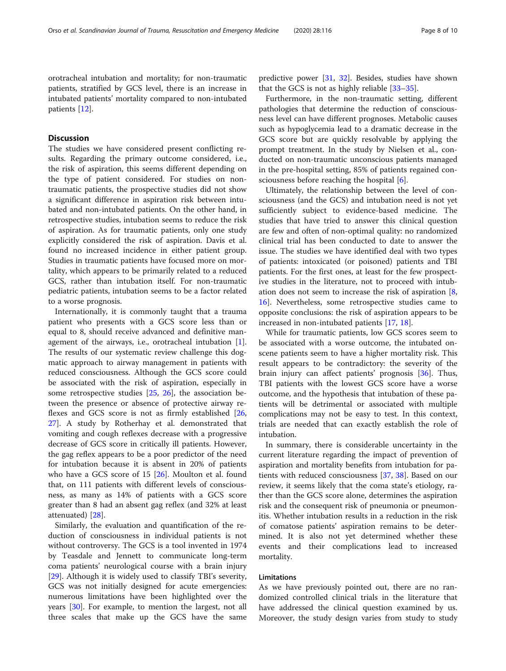orotracheal intubation and mortality; for non-traumatic patients, stratified by GCS level, there is an increase in intubated patients' mortality compared to non-intubated patients [[12\]](#page-8-0).

# **Discussion**

The studies we have considered present conflicting results. Regarding the primary outcome considered, i.e., the risk of aspiration, this seems different depending on the type of patient considered. For studies on nontraumatic patients, the prospective studies did not show a significant difference in aspiration risk between intubated and non-intubated patients. On the other hand, in retrospective studies, intubation seems to reduce the risk of aspiration. As for traumatic patients, only one study explicitly considered the risk of aspiration. Davis et al. found no increased incidence in either patient group. Studies in traumatic patients have focused more on mortality, which appears to be primarily related to a reduced GCS, rather than intubation itself. For non-traumatic pediatric patients, intubation seems to be a factor related to a worse prognosis.

Internationally, it is commonly taught that a trauma patient who presents with a GCS score less than or equal to 8, should receive advanced and definitive management of the airways, i.e., orotracheal intubation [\[1](#page-8-0)]. The results of our systematic review challenge this dogmatic approach to airway management in patients with reduced consciousness. Although the GCS score could be associated with the risk of aspiration, especially in some retrospective studies [\[25](#page-9-0), [26](#page-9-0)], the association between the presence or absence of protective airway reflexes and GCS score is not as firmly established [[26](#page-9-0), [27\]](#page-9-0). A study by Rotherhay et al. demonstrated that vomiting and cough reflexes decrease with a progressive decrease of GCS score in critically ill patients. However, the gag reflex appears to be a poor predictor of the need for intubation because it is absent in 20% of patients who have a GCS score of 15 [\[26](#page-9-0)]. Moulton et al. found that, on 111 patients with different levels of consciousness, as many as 14% of patients with a GCS score greater than 8 had an absent gag reflex (and 32% at least attenuated) [\[28\]](#page-9-0).

Similarly, the evaluation and quantification of the reduction of consciousness in individual patients is not without controversy. The GCS is a tool invented in 1974 by Teasdale and Jennett to communicate long-term coma patients' neurological course with a brain injury [[29\]](#page-9-0). Although it is widely used to classify TBI's severity, GCS was not initially designed for acute emergencies: numerous limitations have been highlighted over the years [[30\]](#page-9-0). For example, to mention the largest, not all three scales that make up the GCS have the same

predictive power [[31](#page-9-0), [32](#page-9-0)]. Besides, studies have shown that the GCS is not as highly reliable [[33](#page-9-0)–[35\]](#page-9-0).

Furthermore, in the non-traumatic setting, different pathologies that determine the reduction of consciousness level can have different prognoses. Metabolic causes such as hypoglycemia lead to a dramatic decrease in the GCS score but are quickly resolvable by applying the prompt treatment. In the study by Nielsen et al., conducted on non-traumatic unconscious patients managed in the pre-hospital setting, 85% of patients regained con-sciousness before reaching the hospital [\[6](#page-8-0)].

Ultimately, the relationship between the level of consciousness (and the GCS) and intubation need is not yet sufficiently subject to evidence-based medicine. The studies that have tried to answer this clinical question are few and often of non-optimal quality: no randomized clinical trial has been conducted to date to answer the issue. The studies we have identified deal with two types of patients: intoxicated (or poisoned) patients and TBI patients. For the first ones, at least for the few prospective studies in the literature, not to proceed with intubation does not seem to increase the risk of aspiration [\[8](#page-8-0), [16\]](#page-8-0). Nevertheless, some retrospective studies came to opposite conclusions: the risk of aspiration appears to be increased in non-intubated patients [\[17](#page-8-0), [18\]](#page-8-0).

While for traumatic patients, low GCS scores seem to be associated with a worse outcome, the intubated onscene patients seem to have a higher mortality risk. This result appears to be contradictory: the severity of the brain injury can affect patients' prognosis [[36\]](#page-9-0). Thus, TBI patients with the lowest GCS score have a worse outcome, and the hypothesis that intubation of these patients will be detrimental or associated with multiple complications may not be easy to test. In this context, trials are needed that can exactly establish the role of intubation.

In summary, there is considerable uncertainty in the current literature regarding the impact of prevention of aspiration and mortality benefits from intubation for patients with reduced consciousness [[37,](#page-9-0) [38\]](#page-9-0). Based on our review, it seems likely that the coma state's etiology, rather than the GCS score alone, determines the aspiration risk and the consequent risk of pneumonia or pneumonitis. Whether intubation results in a reduction in the risk of comatose patients' aspiration remains to be determined. It is also not yet determined whether these events and their complications lead to increased mortality.

# Limitations

As we have previously pointed out, there are no randomized controlled clinical trials in the literature that have addressed the clinical question examined by us. Moreover, the study design varies from study to study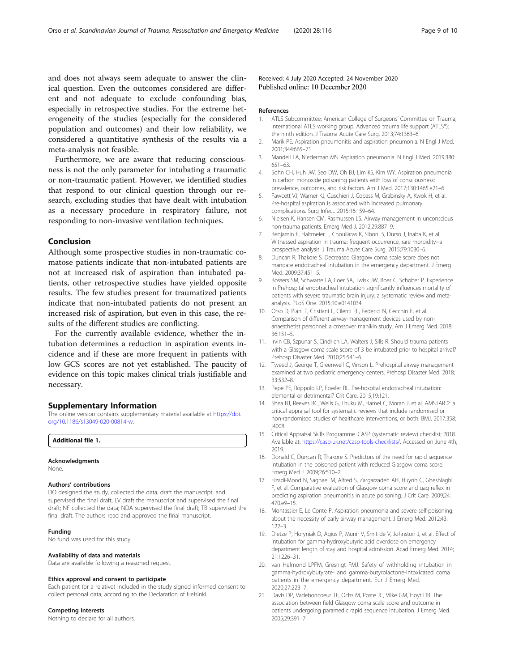<span id="page-8-0"></span>and does not always seem adequate to answer the clinical question. Even the outcomes considered are different and not adequate to exclude confounding bias, especially in retrospective studies. For the extreme heterogeneity of the studies (especially for the considered population and outcomes) and their low reliability, we considered a quantitative synthesis of the results via a meta-analysis not feasible.

Furthermore, we are aware that reducing consciousness is not the only parameter for intubating a traumatic or non-traumatic patient. However, we identified studies that respond to our clinical question through our research, excluding studies that have dealt with intubation as a necessary procedure in respiratory failure, not responding to non-invasive ventilation techniques.

# Conclusion

Although some prospective studies in non-traumatic comatose patients indicate that non-intubated patients are not at increased risk of aspiration than intubated patients, other retrospective studies have yielded opposite results. The few studies present for traumatized patients indicate that non-intubated patients do not present an increased risk of aspiration, but even in this case, the results of the different studies are conflicting.

For the currently available evidence, whether the intubation determines a reduction in aspiration events incidence and if these are more frequent in patients with low GCS scores are not yet established. The paucity of evidence on this topic makes clinical trials justifiable and necessary.

# Supplementary Information

The online version contains supplementary material available at [https://doi.](https://doi.org/10.1186/s13049-020-00814-w) [org/10.1186/s13049-020-00814-w](https://doi.org/10.1186/s13049-020-00814-w).

#### Additional file 1.

#### Acknowledgments

None.

# Authors' contributions

DO designed the study, collected the data, draft the manuscript, and supervised the final draft; LV draft the manuscript and supervised the final draft; NF collected the data; NDA supervised the final draft; TB supervised the final draft. The authors read and approved the final manuscript.

### Funding

No fund was used for this study.

#### Availability of data and materials

Data are available following a reasoned request.

# Ethics approval and consent to participate

Each patient (or a relative) included in the study signed informed consent to collect personal data, according to the Declaration of Helsinki.

# Competing interests

Nothing to declare for all authors.

# Received: 4 July 2020 Accepted: 24 November 2020 Published online: 10 December 2020

#### References

- 1. ATLS Subcommittee; American College of Surgeons' Committee on Trauma; International ATLS working group. Advanced trauma life support (ATLS®): the ninth edition. J Trauma Acute Care Surg. 2013;74:1363–6.
- 2. Marik PE. Aspiration pneumonitis and aspiration pneumonia. N Engl J Med. 2001;344:665–71.
- 3. Mandell LA, Niederman MS. Aspiration pneumonia. N Engl J Med. 2019;380: 651–63.
- 4. Sohn CH, Huh JW, Seo DW, Oh BJ, Lim KS, Kim WY. Aspiration pneumonia in carbon monoxide poisoning patients with loss of consciousness: prevalence, outcomes, and risk factors. Am J Med. 2017;130:1465.e21–6.
- 5. Fawcett VJ, Warner KJ, Cuschieri J, Copass M, Grabinsky A, Kwok H, et al. Pre-hospital aspiration is associated with increased pulmonary complications. Surg Infect. 2015;16:159–64.
- 6. Nielsen K, Hansen CM, Rasmussen LS. Airway management in unconscious non-trauma patients. Emerg Med J. 2012;29:887–9.
- 7. Benjamin E, Haltmeier T, Chouliaras K, Siboni S, Durso J, Inaba K, et al. Witnessed aspiration in trauma: frequent occurrence, rare morbidity--a prospective analysis. J Trauma Acute Care Surg. 2015;79:1030–6.
- 8. Duncan R, Thakore S. Decreased Glasgow coma scale score does not mandate endotracheal intubation in the emergency department. J Emerg Med. 2009;37:451–5.
- 9. Bossers SM, Schwarte LA, Loer SA, Twisk JW, Boer C, Schober P. Experience in Prehospital endotracheal intubation significantly influences mortality of patients with severe traumatic brain injury: a systematic review and metaanalysis. PLoS One. 2015;10:e0141034.
- 10. Orso D, Piani T, Cristiani L, Cilenti FL, Federici N, Cecchin E, et al. Comparison of different airway-management devices used by nonanaesthetist personnel: a crossover manikin study. Am J Emerg Med. 2018; 36:151–5.
- 11. Irvin CB, Szpunar S, Cindrich LA, Walters J, Sills R. Should trauma patients with a Glasgow coma scale score of 3 be intubated prior to hospital arrival? Prehosp Disaster Med. 2010;25:541–6.
- 12. Tweed J, George T, Greenwell C, Vinson L. Prehospital airway management examined at two pediatric emergency centers. Prehosp Disaster Med. 2018; 33:532–8.
- 13. Pepe PE, Roppolo LP, Fowler RL. Pre-hospital endotracheal intubation: elemental or detrimental? Crit Care. 2015;19:121.
- 14. Shea BJ, Reeves BC, Wells G, Thuku M, Hamel C, Moran J, et al. AMSTAR 2: a critical appraisal tool for systematic reviews that include randomised or non-randomised studies of healthcare interventions, or both. BMJ. 2017;358: j4008.
- 15. Critical Appraisal Skills Programme. CASP (systematic review) checklist; 2018. Available at: [https://casp-uk.net/casp-tools-checklists/.](https://casp-uk.net/casp-tools-checklists/) Accessed on June 4th, 2019.
- 16. Donald C, Duncan R, Thakore S. Predictors of the need for rapid sequence intubation in the poisoned patient with reduced Glasgow coma score. Emerg Med J. 2009;26:510–2.
- 17. Eizadi-Mood N, Saghaei M, Alfred S, Zargarzadeh AH, Huynh C, Gheshlaghi F, et al. Comparative evaluation of Glasgow coma score and gag reflex in predicting aspiration pneumonitis in acute poisoning. J Crit Care. 2009;24: 470.e9–15.
- 18. Montassier E, Le Conte P. Aspiration pneumonia and severe self-poisoning: about the necessity of early airway management. J Emerg Med. 2012;43: 122–3.
- 19. Dietze P, Horyniak D, Agius P, Munir V, Smit de V, Johnston J, et al. Effect of intubation for gamma-hydroxybutyric acid overdose on emergency department length of stay and hospital admission. Acad Emerg Med. 2014; 21:1226–31.
- 20. van Helmond LPFM, Gresnigt FMJ. Safety of withholding intubation in gamma-hydroxybutyrate- and gamma-butyrolactone-intoxicated coma patients in the emergency department. Eur J Emerg Med. 2020;27:223–7.
- 21. Davis DP, Vadeboncoeur TF, Ochs M, Poste JC, Vilke GM, Hoyt DB. The association between field Glasgow coma scale score and outcome in patients undergoing paramedic rapid sequence intubation. J Emerg Med. 2005;29:391–7.